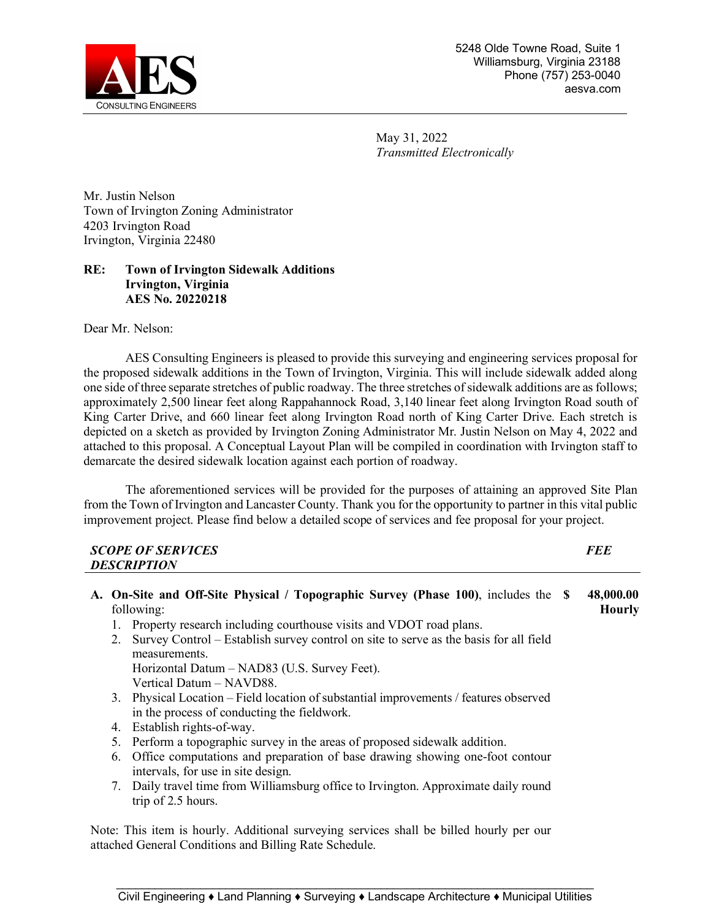

May 31, 2022 *Transmitted Electronically*

Mr. Justin Nelson Town of Irvington Zoning Administrator 4203 Irvington Road Irvington, Virginia 22480

### **RE: Town of Irvington Sidewalk Additions Irvington, Virginia AES No. 20220218**

Dear Mr. Nelson:

AES Consulting Engineers is pleased to provide this surveying and engineering services proposal for the proposed sidewalk additions in the Town of Irvington, Virginia. This will include sidewalk added along one side of three separate stretches of public roadway. The three stretches of sidewalk additions are as follows; approximately 2,500 linear feet along Rappahannock Road, 3,140 linear feet along Irvington Road south of King Carter Drive, and 660 linear feet along Irvington Road north of King Carter Drive. Each stretch is depicted on a sketch as provided by Irvington Zoning Administrator Mr. Justin Nelson on May 4, 2022 and attached to this proposal. A Conceptual Layout Plan will be compiled in coordination with Irvington staff to demarcate the desired sidewalk location against each portion of roadway.

The aforementioned services will be provided for the purposes of attaining an approved Site Plan from the Town of Irvington and Lancaster County. Thank you for the opportunity to partner in this vital public improvement project. Please find below a detailed scope of services and fee proposal for your project.

| <b>SCOPE OF SERVICES</b>                                                                                                                          |                            |
|---------------------------------------------------------------------------------------------------------------------------------------------------|----------------------------|
| <b>DESCRIPTION</b>                                                                                                                                |                            |
| A. On-Site and Off-Site Physical / Topographic Survey (Phase 100), includes the \$<br>following:                                                  | 48,000.00<br><b>Hourly</b> |
| Property research including courthouse visits and VDOT road plans.                                                                                |                            |
| Survey Control – Establish survey control on site to serve as the basis for all field<br>2.<br>measurements.                                      |                            |
| Horizontal Datum – NAD83 (U.S. Survey Feet).                                                                                                      |                            |
| Vertical Datum - NAVD88.                                                                                                                          |                            |
| 3. Physical Location – Field location of substantial improvements / features observed<br>in the process of conducting the fieldwork.              |                            |
| Establish rights-of-way.<br>4.                                                                                                                    |                            |
| Perform a topographic survey in the areas of proposed sidewalk addition.<br>5.                                                                    |                            |
| Office computations and preparation of base drawing showing one-foot contour<br>6.<br>intervals, for use in site design.                          |                            |
| Daily travel time from Williamsburg office to Irvington. Approximate daily round<br>7.<br>trip of 2.5 hours.                                      |                            |
| Note: This item is hourly. Additional surveying services shall be billed hourly per our<br>attached General Conditions and Billing Rate Schedule. |                            |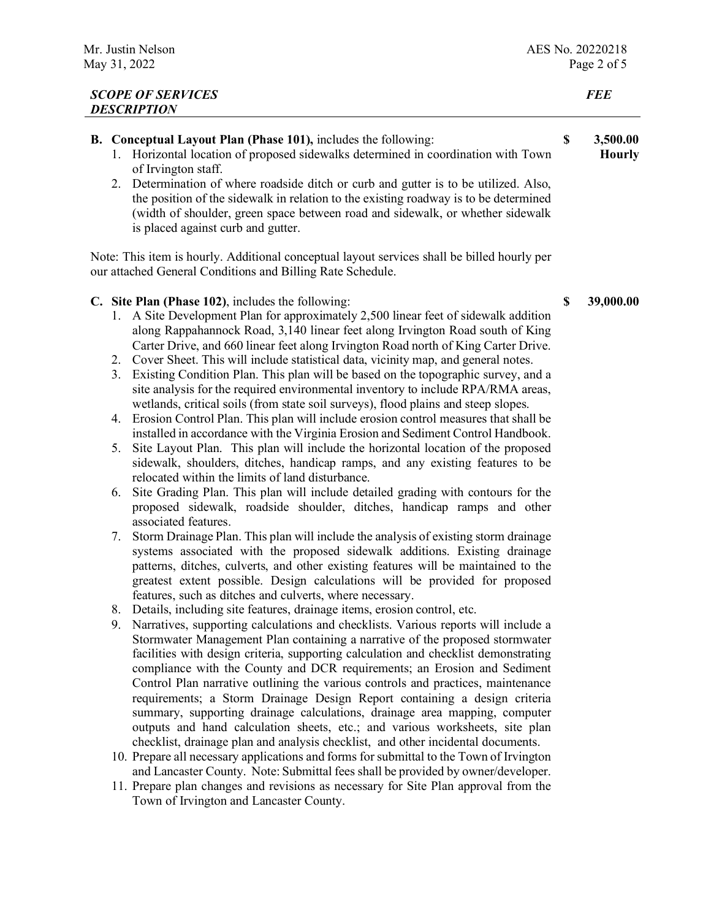| SCOPE OF SERVICES<br>DESCRIPTION |                                                                                                                                                            | <b>FEE</b>                |  |
|----------------------------------|------------------------------------------------------------------------------------------------------------------------------------------------------------|---------------------------|--|
|                                  | <b>B. Conceptual Layout Plan (Phase 101), includes the following:</b><br>1. Horizontal location of proposed sidewalks determined in coordination with Town | 3,500.00<br><b>Hourly</b> |  |

of Irvington staff. 2. Determination of where roadside ditch or curb and gutter is to be utilized. Also, the position of the sidewalk in relation to the existing roadway is to be determined (width of shoulder, green space between road and sidewalk, or whether sidewalk is placed against curb and gutter.

Note: This item is hourly. Additional conceptual layout services shall be billed hourly per our attached General Conditions and Billing Rate Schedule.

**C. Site Plan (Phase 102)**, includes the following: **\$ 39,000.00**

- 1. A Site Development Plan for approximately 2,500 linear feet of sidewalk addition along Rappahannock Road, 3,140 linear feet along Irvington Road south of King Carter Drive, and 660 linear feet along Irvington Road north of King Carter Drive.
- 2. Cover Sheet. This will include statistical data, vicinity map, and general notes.
- 3. Existing Condition Plan. This plan will be based on the topographic survey, and a site analysis for the required environmental inventory to include RPA/RMA areas, wetlands, critical soils (from state soil surveys), flood plains and steep slopes.
- 4. Erosion Control Plan. This plan will include erosion control measures that shall be installed in accordance with the Virginia Erosion and Sediment Control Handbook.
- 5. Site Layout Plan. This plan will include the horizontal location of the proposed sidewalk, shoulders, ditches, handicap ramps, and any existing features to be relocated within the limits of land disturbance.
- 6. Site Grading Plan. This plan will include detailed grading with contours for the proposed sidewalk, roadside shoulder, ditches, handicap ramps and other associated features.
- 7. Storm Drainage Plan. This plan will include the analysis of existing storm drainage systems associated with the proposed sidewalk additions. Existing drainage patterns, ditches, culverts, and other existing features will be maintained to the greatest extent possible. Design calculations will be provided for proposed features, such as ditches and culverts, where necessary.
- 8. Details, including site features, drainage items, erosion control, etc.
- 9. Narratives, supporting calculations and checklists. Various reports will include a Stormwater Management Plan containing a narrative of the proposed stormwater facilities with design criteria, supporting calculation and checklist demonstrating compliance with the County and DCR requirements; an Erosion and Sediment Control Plan narrative outlining the various controls and practices, maintenance requirements; a Storm Drainage Design Report containing a design criteria summary, supporting drainage calculations, drainage area mapping, computer outputs and hand calculation sheets, etc.; and various worksheets, site plan checklist, drainage plan and analysis checklist, and other incidental documents.
- 10. Prepare all necessary applications and forms for submittal to the Town of Irvington and Lancaster County. Note: Submittal fees shall be provided by owner/developer.
- 11. Prepare plan changes and revisions as necessary for Site Plan approval from the Town of Irvington and Lancaster County.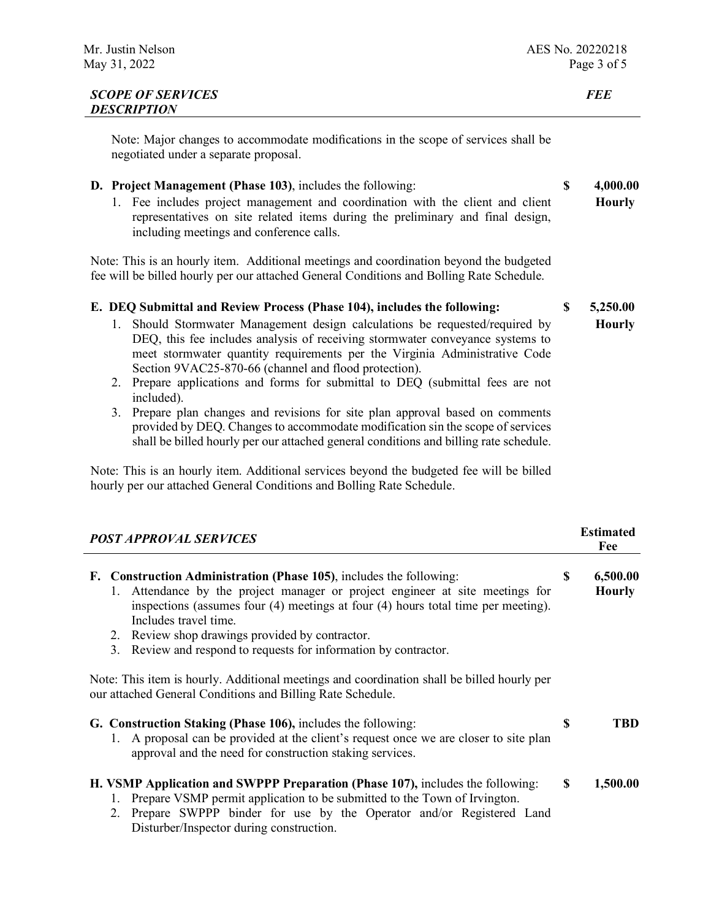| Mr. Justin Nelson                                                                                                                                                                                                                                                                                                                                                                                                                                                                      |    | AES No. 20220218          |  |
|----------------------------------------------------------------------------------------------------------------------------------------------------------------------------------------------------------------------------------------------------------------------------------------------------------------------------------------------------------------------------------------------------------------------------------------------------------------------------------------|----|---------------------------|--|
| May 31, 2022                                                                                                                                                                                                                                                                                                                                                                                                                                                                           |    | Page 3 of 5               |  |
| <b>SCOPE OF SERVICES</b><br><b>DESCRIPTION</b>                                                                                                                                                                                                                                                                                                                                                                                                                                         |    | <b>FEE</b>                |  |
| Note: Major changes to accommodate modifications in the scope of services shall be<br>negotiated under a separate proposal.                                                                                                                                                                                                                                                                                                                                                            |    |                           |  |
| D. Project Management (Phase 103), includes the following:<br>Fee includes project management and coordination with the client and client<br>1.<br>representatives on site related items during the preliminary and final design,<br>including meetings and conference calls.                                                                                                                                                                                                          | \$ | 4,000.00<br><b>Hourly</b> |  |
| Note: This is an hourly item. Additional meetings and coordination beyond the budgeted<br>fee will be billed hourly per our attached General Conditions and Bolling Rate Schedule.                                                                                                                                                                                                                                                                                                     |    |                           |  |
| E. DEQ Submittal and Review Process (Phase 104), includes the following:<br>Should Stormwater Management design calculations be requested/required by<br>1.<br>DEQ, this fee includes analysis of receiving stormwater conveyance systems to<br>meet stormwater quantity requirements per the Virginia Administrative Code<br>Section 9VAC25-870-66 (channel and flood protection).<br>Prepare applications and forms for submittal to DEQ (submittal fees are not<br>2.<br>included). | S  | 5,250.00<br><b>Hourly</b> |  |

3. Prepare plan changes and revisions for site plan approval based on comments provided by DEQ. Changes to accommodate modification sin the scope of services shall be billed hourly per our attached general conditions and billing rate schedule.

Note: This is an hourly item. Additional services beyond the budgeted fee will be billed hourly per our attached General Conditions and Bolling Rate Schedule.

| <b>POST APPROVAL SERVICES</b>                                                                                                                                                                                                                                                                                                                                                                |                                |
|----------------------------------------------------------------------------------------------------------------------------------------------------------------------------------------------------------------------------------------------------------------------------------------------------------------------------------------------------------------------------------------------|--------------------------------|
| F. Construction Administration (Phase 105), includes the following:<br>1. Attendance by the project manager or project engineer at site meetings for<br>inspections (assumes four (4) meetings at four (4) hours total time per meeting).<br>Includes travel time.<br>2. Review shop drawings provided by contractor.<br>Review and respond to requests for information by contractor.<br>3. | 6,500.00<br>S<br><b>Hourly</b> |
| Note: This item is hourly. Additional meetings and coordination shall be billed hourly per<br>our attached General Conditions and Billing Rate Schedule.                                                                                                                                                                                                                                     |                                |
| G. Construction Staking (Phase 106), includes the following:<br>1. A proposal can be provided at the client's request once we are closer to site plan<br>approval and the need for construction staking services.                                                                                                                                                                            | <b>TBD</b><br>\$               |
| H. VSMP Application and SWPPP Preparation (Phase 107), includes the following:<br>Prepare VSMP permit application to be submitted to the Town of Irvington.<br>1.<br>Prepare SWPPP binder for use by the Operator and/or Registered Land<br>2.<br>Disturber/Inspector during construction.                                                                                                   | S.<br>1,500.00                 |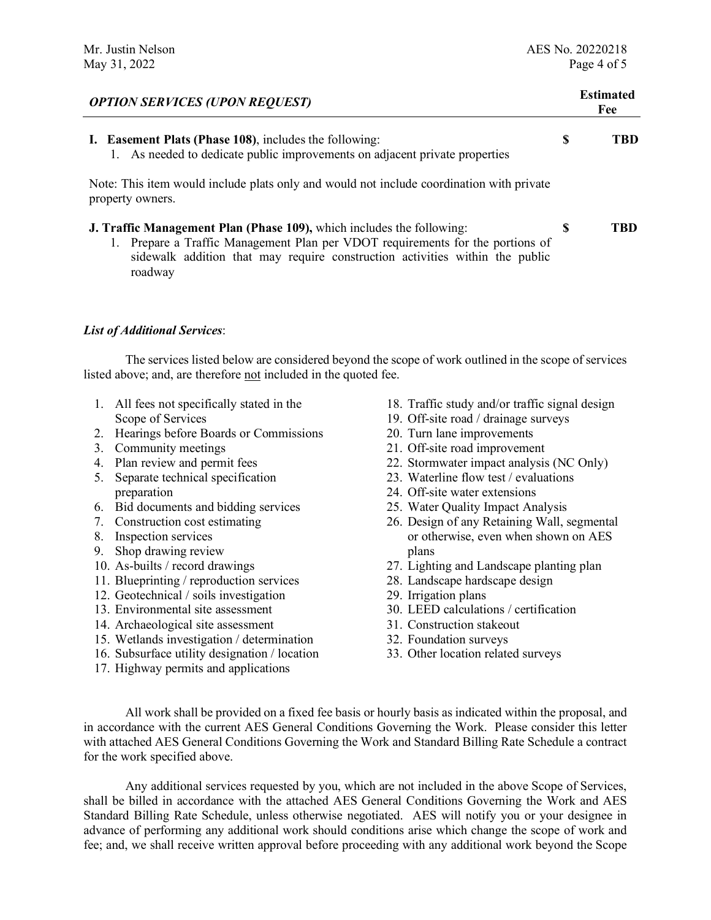| <b>OPTION SERVICES (UPON REQUEST)</b>                                                                                                                                                                                                                  |          | <b>Estimated</b><br>Fee |  |
|--------------------------------------------------------------------------------------------------------------------------------------------------------------------------------------------------------------------------------------------------------|----------|-------------------------|--|
| <b>I.</b> Easement Plats (Phase 108), includes the following:<br>As needed to dedicate public improvements on adjacent private properties                                                                                                              | S<br>TBD |                         |  |
| Note: This item would include plats only and would not include coordination with private<br>property owners.                                                                                                                                           |          |                         |  |
| <b>J. Traffic Management Plan (Phase 109),</b> which includes the following:<br>Prepare a Traffic Management Plan per VDOT requirements for the portions of<br>sidewalk addition that may require construction activities within the public<br>roadway | TRD<br>S |                         |  |

### *List of Additional Services*:

The services listed below are considered beyond the scope of work outlined in the scope of services listed above; and, are therefore not included in the quoted fee.

- 1. All fees not specifically stated in the Scope of Services
- 2. Hearings before Boards or Commissions
- 3. Community meetings
- 4. Plan review and permit fees
- 5. Separate technical specification preparation
- 6. Bid documents and bidding services
- 7. Construction cost estimating
- 8. Inspection services
- 9. Shop drawing review
- 10. As-builts / record drawings
- 11. Blueprinting / reproduction services
- 12. Geotechnical / soils investigation
- 13. Environmental site assessment
- 14. Archaeological site assessment
- 15. Wetlands investigation / determination
- 16. Subsurface utility designation / location
- 17. Highway permits and applications
- 18. Traffic study and/or traffic signal design
- 19. Off-site road / drainage surveys
- 20. Turn lane improvements
- 21. Off-site road improvement
- 22. Stormwater impact analysis (NC Only)
- 23. Waterline flow test / evaluations
- 24. Off-site water extensions
- 25. Water Quality Impact Analysis
- 26. Design of any Retaining Wall, segmental or otherwise, even when shown on AES plans
- 27. Lighting and Landscape planting plan
- 28. Landscape hardscape design
- 29. Irrigation plans
- 30. LEED calculations / certification
- 31. Construction stakeout
- 32. Foundation surveys
- 33. Other location related surveys

All work shall be provided on a fixed fee basis or hourly basis as indicated within the proposal, and in accordance with the current AES General Conditions Governing the Work. Please consider this letter with attached AES General Conditions Governing the Work and Standard Billing Rate Schedule a contract for the work specified above.

Any additional services requested by you, which are not included in the above Scope of Services, shall be billed in accordance with the attached AES General Conditions Governing the Work and AES Standard Billing Rate Schedule, unless otherwise negotiated. AES will notify you or your designee in advance of performing any additional work should conditions arise which change the scope of work and fee; and, we shall receive written approval before proceeding with any additional work beyond the Scope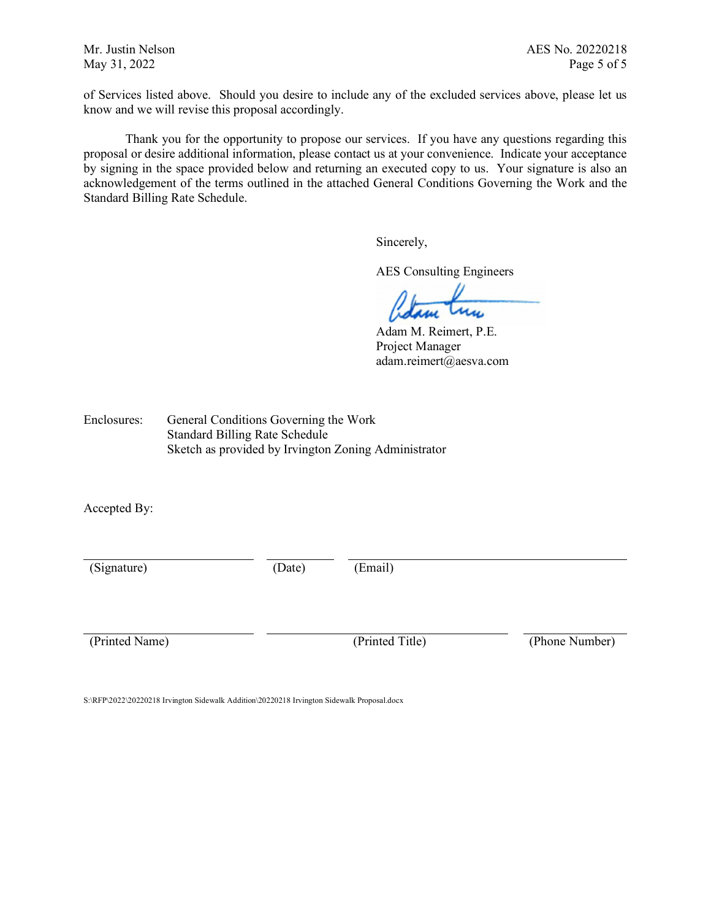of Services listed above. Should you desire to include any of the excluded services above, please let us know and we will revise this proposal accordingly.

Thank you for the opportunity to propose our services. If you have any questions regarding this proposal or desire additional information, please contact us at your convenience. Indicate your acceptance by signing in the space provided below and returning an executed copy to us. Your signature is also an acknowledgement of the terms outlined in the attached General Conditions Governing the Work and the Standard Billing Rate Schedule.

Sincerely,

AES Consulting Engineers

Adam M. Reimert, P.E. Project Manager adam.reimert@aesva.com

Enclosures: General Conditions Governing the Work Standard Billing Rate Schedule Sketch as provided by Irvington Zoning Administrator

Accepted By:

(Signature) (Date) (Email)

(Printed Name) (Printed Title) (Phone Number)

S:\RFP\2022\20220218 Irvington Sidewalk Addition\20220218 Irvington Sidewalk Proposal.docx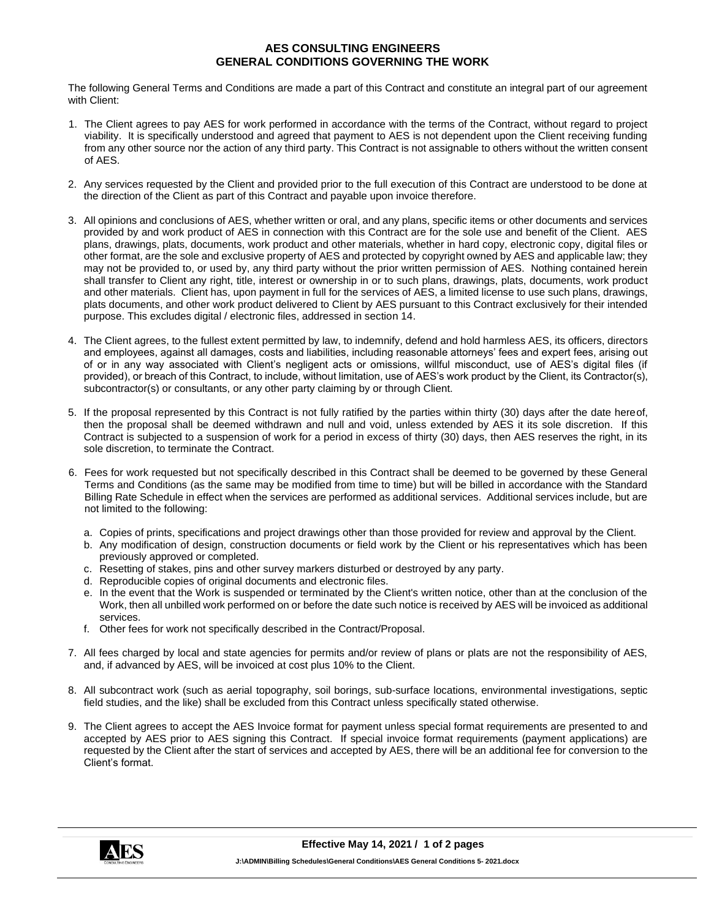#### **AES CONSULTING ENGINEERS GENERAL CONDITIONS GOVERNING THE WORK**

The following General Terms and Conditions are made a part of this Contract and constitute an integral part of our agreement with Client:

- 1. The Client agrees to pay AES for work performed in accordance with the terms of the Contract, without regard to project viability. It is specifically understood and agreed that payment to AES is not dependent upon the Client receiving funding from any other source nor the action of any third party. This Contract is not assignable to others without the written consent of AES.
- 2. Any services requested by the Client and provided prior to the full execution of this Contract are understood to be done at the direction of the Client as part of this Contract and payable upon invoice therefore.
- 3. All opinions and conclusions of AES, whether written or oral, and any plans, specific items or other documents and services provided by and work product of AES in connection with this Contract are for the sole use and benefit of the Client. AES plans, drawings, plats, documents, work product and other materials, whether in hard copy, electronic copy, digital files or other format, are the sole and exclusive property of AES and protected by copyright owned by AES and applicable law; they may not be provided to, or used by, any third party without the prior written permission of AES. Nothing contained herein shall transfer to Client any right, title, interest or ownership in or to such plans, drawings, plats, documents, work product and other materials. Client has, upon payment in full for the services of AES, a limited license to use such plans, drawings, plats documents, and other work product delivered to Client by AES pursuant to this Contract exclusively for their intended purpose. This excludes digital / electronic files, addressed in section 14.
- 4. The Client agrees, to the fullest extent permitted by law, to indemnify, defend and hold harmless AES, its officers, directors and employees, against all damages, costs and liabilities, including reasonable attorneys' fees and expert fees, arising out of or in any way associated with Client's negligent acts or omissions, willful misconduct, use of AES's digital files (if provided), or breach of this Contract, to include, without limitation, use of AES's work product by the Client, its Contractor(s), subcontractor(s) or consultants, or any other party claiming by or through Client.
- 5. If the proposal represented by this Contract is not fully ratified by the parties within thirty (30) days after the date hereof, then the proposal shall be deemed withdrawn and null and void, unless extended by AES it its sole discretion. If this Contract is subjected to a suspension of work for a period in excess of thirty (30) days, then AES reserves the right, in its sole discretion, to terminate the Contract.
- 6. Fees for work requested but not specifically described in this Contract shall be deemed to be governed by these General Terms and Conditions (as the same may be modified from time to time) but will be billed in accordance with the Standard Billing Rate Schedule in effect when the services are performed as additional services. Additional services include, but are not limited to the following:
	- a. Copies of prints, specifications and project drawings other than those provided for review and approval by the Client.
	- b. Any modification of design, construction documents or field work by the Client or his representatives which has been previously approved or completed.
	- c. Resetting of stakes, pins and other survey markers disturbed or destroyed by any party.
	- d. Reproducible copies of original documents and electronic files.
	- e. In the event that the Work is suspended or terminated by the Client's written notice, other than at the conclusion of the Work, then all unbilled work performed on or before the date such notice is received by AES will be invoiced as additional services.
	- f. Other fees for work not specifically described in the Contract/Proposal.
- 7. All fees charged by local and state agencies for permits and/or review of plans or plats are not the responsibility of AES, and, if advanced by AES, will be invoiced at cost plus 10% to the Client.
- 8. All subcontract work (such as aerial topography, soil borings, sub-surface locations, environmental investigations, septic field studies, and the like) shall be excluded from this Contract unless specifically stated otherwise.
- 9. The Client agrees to accept the AES Invoice format for payment unless special format requirements are presented to and accepted by AES prior to AES signing this Contract. If special invoice format requirements (payment applications) are requested by the Client after the start of services and accepted by AES, there will be an additional fee for conversion to the Client's format.

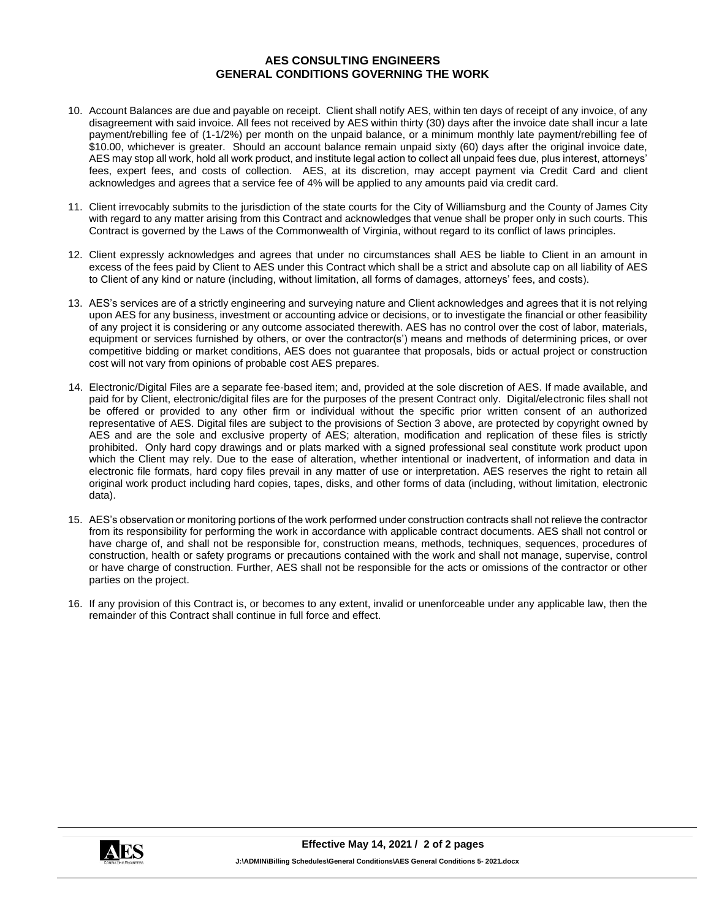#### **AES CONSULTING ENGINEERS GENERAL CONDITIONS GOVERNING THE WORK**

- 10. Account Balances are due and payable on receipt. Client shall notify AES, within ten days of receipt of any invoice, of any disagreement with said invoice. All fees not received by AES within thirty (30) days after the invoice date shall incur a late payment/rebilling fee of (1-1/2%) per month on the unpaid balance, or a minimum monthly late payment/rebilling fee of \$10.00, whichever is greater. Should an account balance remain unpaid sixty (60) days after the original invoice date, AES may stop all work, hold all work product, and institute legal action to collect all unpaid fees due, plus interest, attorneys' fees, expert fees, and costs of collection. AES, at its discretion, may accept payment via Credit Card and client acknowledges and agrees that a service fee of 4% will be applied to any amounts paid via credit card.
- 11. Client irrevocably submits to the jurisdiction of the state courts for the City of Williamsburg and the County of James City with regard to any matter arising from this Contract and acknowledges that venue shall be proper only in such courts. This Contract is governed by the Laws of the Commonwealth of Virginia, without regard to its conflict of laws principles.
- 12. Client expressly acknowledges and agrees that under no circumstances shall AES be liable to Client in an amount in excess of the fees paid by Client to AES under this Contract which shall be a strict and absolute cap on all liability of AES to Client of any kind or nature (including, without limitation, all forms of damages, attorneys' fees, and costs).
- 13. AES's services are of a strictly engineering and surveying nature and Client acknowledges and agrees that it is not relying upon AES for any business, investment or accounting advice or decisions, or to investigate the financial or other feasibility of any project it is considering or any outcome associated therewith. AES has no control over the cost of labor, materials, equipment or services furnished by others, or over the contractor(s') means and methods of determining prices, or over competitive bidding or market conditions, AES does not guarantee that proposals, bids or actual project or construction cost will not vary from opinions of probable cost AES prepares.
- 14. Electronic/Digital Files are a separate fee-based item; and, provided at the sole discretion of AES. If made available, and paid for by Client, electronic/digital files are for the purposes of the present Contract only. Digital/electronic files shall not be offered or provided to any other firm or individual without the specific prior written consent of an authorized representative of AES. Digital files are subject to the provisions of Section 3 above, are protected by copyright owned by AES and are the sole and exclusive property of AES; alteration, modification and replication of these files is strictly prohibited. Only hard copy drawings and or plats marked with a signed professional seal constitute work product upon which the Client may rely. Due to the ease of alteration, whether intentional or inadvertent, of information and data in electronic file formats, hard copy files prevail in any matter of use or interpretation. AES reserves the right to retain all original work product including hard copies, tapes, disks, and other forms of data (including, without limitation, electronic data).
- 15. AES's observation or monitoring portions of the work performed under construction contracts shall not relieve the contractor from its responsibility for performing the work in accordance with applicable contract documents. AES shall not control or have charge of, and shall not be responsible for, construction means, methods, techniques, sequences, procedures of construction, health or safety programs or precautions contained with the work and shall not manage, supervise, control or have charge of construction. Further, AES shall not be responsible for the acts or omissions of the contractor or other parties on the project.
- 16. If any provision of this Contract is, or becomes to any extent, invalid or unenforceable under any applicable law, then the remainder of this Contract shall continue in full force and effect.

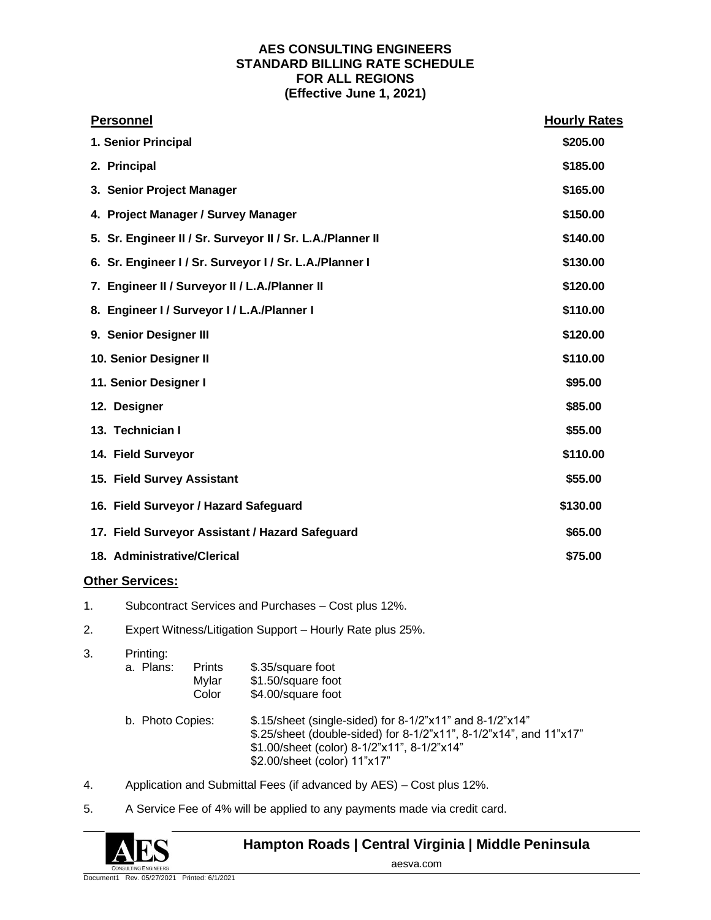## **AES CONSULTING ENGINEERS STANDARD BILLING RATE SCHEDULE FOR ALL REGIONS (Effective June 1, 2021)**

| <b>Personnel</b>                                           | <b>Hourly Rates</b> |
|------------------------------------------------------------|---------------------|
| 1. Senior Principal                                        | \$205.00            |
| 2. Principal                                               | \$185.00            |
| 3. Senior Project Manager                                  | \$165.00            |
| 4. Project Manager / Survey Manager                        | \$150.00            |
| 5. Sr. Engineer II / Sr. Surveyor II / Sr. L.A./Planner II | \$140.00            |
| 6. Sr. Engineer I / Sr. Surveyor I / Sr. L.A./Planner I    | \$130.00            |
| 7. Engineer II / Surveyor II / L.A./Planner II             | \$120.00            |
| 8. Engineer I / Surveyor I / L.A./Planner I                | \$110.00            |
| 9. Senior Designer III                                     | \$120.00            |
| 10. Senior Designer II                                     | \$110.00            |
| 11. Senior Designer I                                      | \$95.00             |
| 12. Designer                                               | \$85.00             |
| 13. Technician I                                           | \$55.00             |
| 14. Field Surveyor                                         | \$110.00            |
| 15. Field Survey Assistant                                 | \$55.00             |
| 16. Field Surveyor / Hazard Safeguard                      | \$130.00            |
| 17. Field Surveyor Assistant / Hazard Safeguard            | \$65.00             |
| 18. Administrative/Clerical                                | \$75.00             |
| <b>Other Services:</b>                                     |                     |

- 1. Subcontract Services and Purchases Cost plus 12%.
- 2. Expert Witness/Litigation Support Hourly Rate plus 25%.
- 3. Printing:

| Prints | \$.35/square foot  |
|--------|--------------------|
| Mylar  | \$1.50/square foot |
| Color  | \$4.00/square foot |
|        |                    |

- b. Photo Copies: \$.15/sheet (single-sided) for 8-1/2"x11" and 8-1/2"x14" \$.25/sheet (double-sided) for 8-1/2"x11", 8-1/2"x14", and 11"x17" \$1.00/sheet (color) 8-1/2"x11", 8-1/2"x14" \$2.00/sheet (color) 11"x17"
- 4. Application and Submittal Fees (if advanced by AES) Cost plus 12%.
- 5. A Service Fee of 4% will be applied to any payments made via credit card.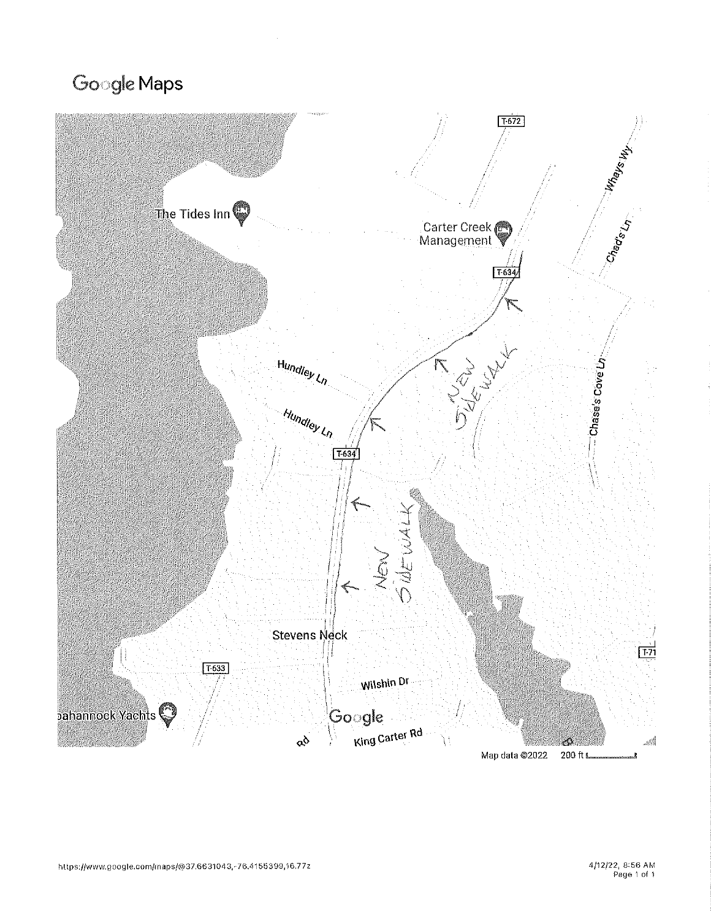# Google Maps

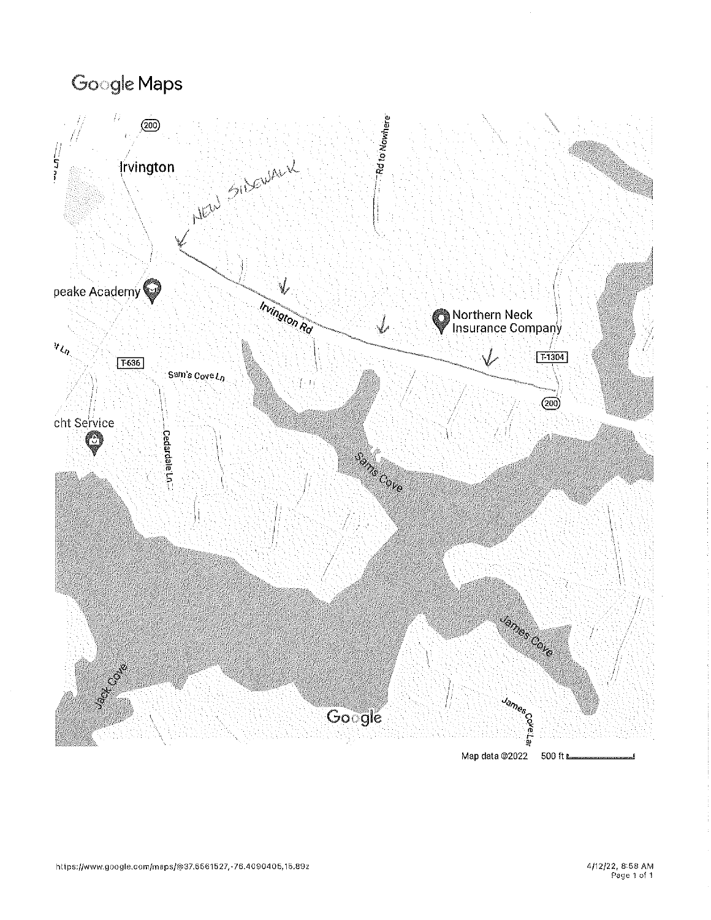# Google Maps